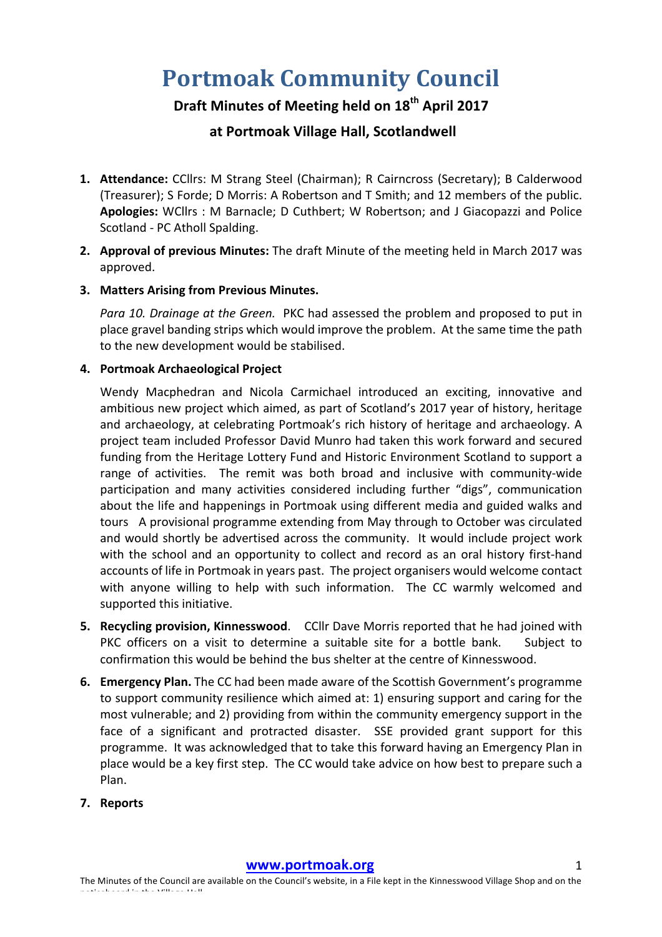# **Portmoak Community Council**

## **Draft Minutes of Meeting held on 18th April 2017**

### **at Portmoak Village Hall, Scotlandwell**

- 1. Attendance: CCllrs: M Strang Steel (Chairman); R Cairncross (Secretary); B Calderwood (Treasurer); S Forde; D Morris: A Robertson and T Smith; and 12 members of the public. Apologies: WCllrs : M Barnacle; D Cuthbert; W Robertson; and J Giacopazzi and Police Scotland - PC Atholl Spalding.
- **2.** Approval of previous Minutes: The draft Minute of the meeting held in March 2017 was approved.

#### **3.** Matters Arising from Previous Minutes.

*Para 10. Drainage at the Green.* PKC had assessed the problem and proposed to put in place gravel banding strips which would improve the problem. At the same time the path to the new development would be stabilised.

#### **4. Portmoak Archaeological Project**

Wendy Macphedran and Nicola Carmichael introduced an exciting, innovative and ambitious new project which aimed, as part of Scotland's 2017 year of history, heritage and archaeology, at celebrating Portmoak's rich history of heritage and archaeology. A project team included Professor David Munro had taken this work forward and secured funding from the Heritage Lottery Fund and Historic Environment Scotland to support a range of activities. The remit was both broad and inclusive with community-wide participation and many activities considered including further "digs", communication about the life and happenings in Portmoak using different media and guided walks and tours A provisional programme extending from May through to October was circulated and would shortly be advertised across the community. It would include project work with the school and an opportunity to collect and record as an oral history first-hand accounts of life in Portmoak in years past. The project organisers would welcome contact with anyone willing to help with such information. The CC warmly welcomed and supported this initiative.

- **5.** Recycling provision, Kinnesswood. CCllr Dave Morris reported that he had joined with PKC officers on a visit to determine a suitable site for a bottle bank. Subject to confirmation this would be behind the bus shelter at the centre of Kinnesswood.
- **6. Emergency Plan.** The CC had been made aware of the Scottish Government's programme to support community resilience which aimed at: 1) ensuring support and caring for the most vulnerable; and 2) providing from within the community emergency support in the face of a significant and protracted disaster. SSE provided grant support for this programme. It was acknowledged that to take this forward having an Emergency Plan in place would be a key first step. The CC would take advice on how best to prepare such a Plan.
- **7. Reports**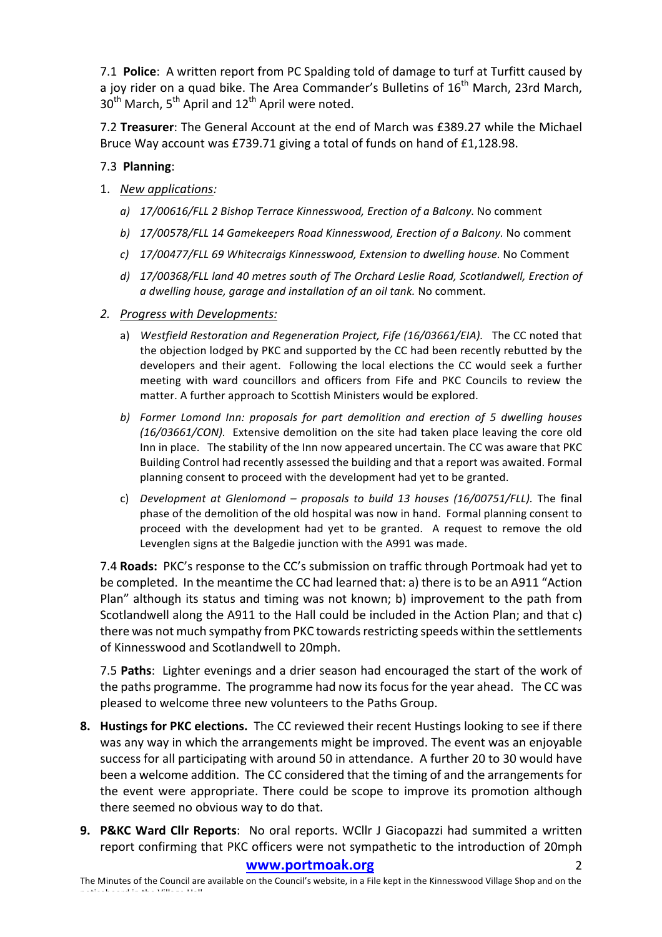7.1 **Police**: A written report from PC Spalding told of damage to turf at Turfitt caused by a joy rider on a quad bike. The Area Commander's Bulletins of  $16<sup>th</sup>$  March, 23rd March,  $30<sup>th</sup>$  March,  $5<sup>th</sup>$  April and  $12<sup>th</sup>$  April were noted.

7.2 **Treasurer**: The General Account at the end of March was £389.27 while the Michael Bruce Way account was £739.71 giving a total of funds on hand of £1,128.98.

#### 7.3 **Planning**:

- 1. *New applications:*
	- *a) 17/00616/FLL 2 Bishop Terrace Kinnesswood, Erection of a Balcony.* No comment
	- *b*) 17/00578/FLL 14 Gamekeepers Road Kinnesswood, Erection of a Balcony. No comment
	- *c) 17/00477/FLL 69 Whitecraigs Kinnesswood, Extension to dwelling house.* No Comment
	- d) 17/00368/FLL land 40 metres south of The Orchard Leslie Road, Scotlandwell, Erection of *a dwelling house, garage and installation of an oil tank.* No comment.
- *2. Progress with Developments:*
	- a) Westfield Restoration and Regeneration Project, Fife (16/03661/EIA). The CC noted that the objection lodged by PKC and supported by the CC had been recently rebutted by the developers and their agent. Following the local elections the CC would seek a further meeting with ward councillors and officers from Fife and PKC Councils to review the matter. A further approach to Scottish Ministers would be explored.
	- *b*) Former Lomond Inn: proposals for part demolition and erection of 5 dwelling houses *(16/03661/CON).* Extensive demolition on the site had taken place leaving the core old Inn in place. The stability of the Inn now appeared uncertain. The CC was aware that PKC Building Control had recently assessed the building and that a report was awaited. Formal planning consent to proceed with the development had yet to be granted.
	- c) *Development at Glenlomond – proposals to build 13 houses (16/00751/FLL).*  The final phase of the demolition of the old hospital was now in hand. Formal planning consent to proceed with the development had yet to be granted. A request to remove the old Levenglen signs at the Balgedie junction with the A991 was made.

7.4 **Roads:** PKC's response to the CC's submission on traffic through Portmoak had yet to be completed. In the meantime the CC had learned that: a) there is to be an A911 "Action Plan" although its status and timing was not known; b) improvement to the path from Scotlandwell along the A911 to the Hall could be included in the Action Plan; and that c) there was not much sympathy from PKC towards restricting speeds within the settlements of Kinnesswood and Scotlandwell to 20mph.

7.5 **Paths**: Lighter evenings and a drier season had encouraged the start of the work of the paths programme. The programme had now its focus for the year ahead. The CC was pleased to welcome three new volunteers to the Paths Group.

- **8.** Hustings for PKC elections. The CC reviewed their recent Hustings looking to see if there was any way in which the arrangements might be improved. The event was an enjoyable success for all participating with around 50 in attendance. A further 20 to 30 would have been a welcome addition. The CC considered that the timing of and the arrangements for the event were appropriate. There could be scope to improve its promotion although there seemed no obvious way to do that.
- **9. P&KC Ward Cllr Reports**: No oral reports. WCllr J Giacopazzi had summited a written report confirming that PKC officers were not sympathetic to the introduction of 20mph

#### **www.portmoak.org** 2